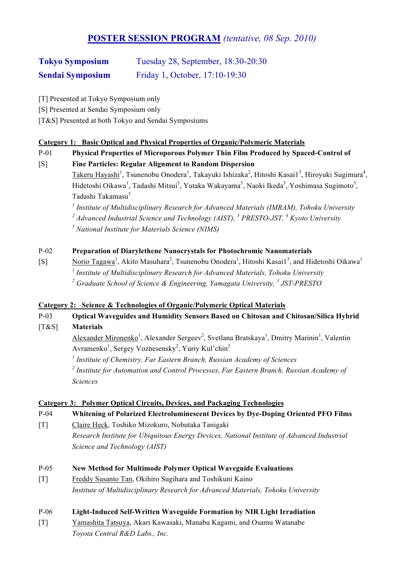# **POSTER SESSION PROGRAM** *(tentative, 08 Sep. 2010)*

# **Tokyo Symposium** Tuesday 28, September, 18:30-20:30 **Sendai Symposium** Friday 1, October, 17:10-19:30

- [T] Presented at Tokyo Symposium only
- [S] Presented at Sendai Symposium only
- [T&S] Presented at both Tokyo and Sendai Symposiums

### **Category 1: Basic Optical and Physical Properties of Organic/Polymeric Materials**

P-01 **Physical Properties of Microporous Polymer Thin Film Produced by Spaced-Control of** 

[S] **Fine Particles: Regular Alignment to Random Dispersion**

 $\text{Takeru Hayashi}^1$ , Tsunenobu Onodera<sup>1</sup>, Takayuki Ishizaka<sup>2</sup>, Hitoshi Kasai1<sup>3</sup>, Hiroyuki Sugimura<sup>4</sup>, Hidetoshi Oikawa<sup>1</sup>, Tadashi Mitsui<sup>5</sup>, Yutaka Wakayama<sup>5</sup>, Naoki Ikeda<sup>5</sup>, Yoshimasa Sugimoto<sup>5</sup>, Tadashi Takamasu<sup>5</sup>

*<sup>1</sup> Institute of Multidisciplinary Research for Advanced Materials (IMRAM), Tohoku University <sup>2</sup> Advanced Industrial Science and Technology (AIST), <sup>3</sup> PRESTO-JST, <sup>4</sup> Kyoto University* 

*<sup>5</sup> National Institute for Materials Science (NIMS)*

### P-02 **Preparation of Diarylethene Nanocrystals for Photochromic Nanomaterials**

[S] Norio Tagawa<sup>1</sup>, Akito Masuhara<sup>2</sup>, Tsunenobu Onodera<sup>1</sup>, Hitoshi Kasai1<sup>3</sup>, and Hidetoshi Oikawa<sup>1</sup> *<sup>1</sup> Institute of Multidisciplinary Research for Advanced Materials, Tohoku University <sup>2</sup> Graduate School of Science & Engineering, Yamagata University, 3 JST-PRESTO*

#### **Category 2: Science & Technologies of Organic/Polymeric Optical Materials**

P-03 **Optical Waveguides and Humidity Sensors Based on Chitosan and Chitosan/Silica Hybrid** 

[T&S] **Materials**

Alexander Mironenko<sup>1</sup>, Alexander Sergeev<sup>2</sup>, Svetlana Bratskaya<sup>1</sup>, Dmitry Marinin<sup>1</sup>, Valentin Avramenko<sup>1</sup>, Sergey Voznesensky<sup>2</sup>, Yuriy Kul'chin<sup>2</sup>

*<sup>1</sup> Institute of Chemistry, Far Eastern Branch, Russian Academy of Sciences <sup>2</sup> Institute for Automation and Control Processes, Far Eastern Branch, Russian Academy of Sciences*

### **Category 3: Polymer Optical Circuits, Devices, and Packaging Technologies**

P-04 **Whitening of Polarized Electroluminescent Devices by Dye-Doping Oriented PFO Films**

- [T] Claire Heck, Toshiko Mizokuro, Nobutaka Tanigaki *Research Institute for Ubiquitous Energy Devices, National Institute of Advanced Industrial Science and Technology (AIST)*
- P-05 **New Method for Multimode Polymer Optical Waveguide Evaluations**
- [T] Freddy Susanto Tan, Okihiro Sugihara and Toshikuni Kaino *Institute of Multidisciplinary Research for Advanced Materials, Tohoku University*
- P-06 **Light-Induced Self-Written Waveguide Formation by NIR Light Irradiation**
- [T] Yamashita Tatsuya, Akari Kawasaki, Manabu Kagami, and Osamu Watanabe *Toyota Central R&D Labs., Inc.*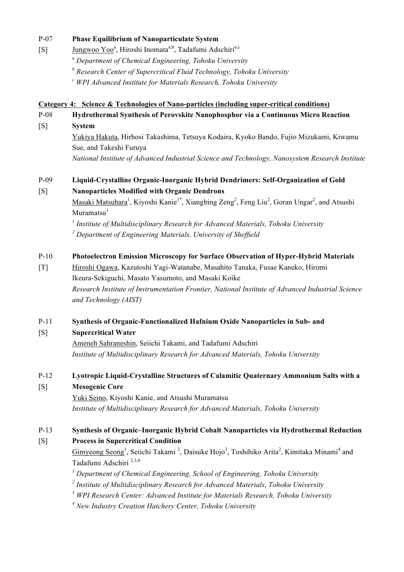#### P-07 **Phase Equilibrium of Nanoparticulate System**

- [S]  $Jungwoo Yoo^a$ , Hiroshi Inomata<sup>a,b</sup>, Tadafumi Adschiri<sup>a,c</sup> *<sup>a</sup> Department of Chemical Engineering, Tohoku University*
	- *<sup>b</sup> Research Center of Supercritical Fluid Technology, Tohoku University*
	- *<sup>c</sup> WPI Advanced Institute for Materials Research, Tohoku University*

#### **Category 4: Science & Technologies of Nano-particles (including super-critical conditions)**

# P-08 **Hydrothermal Synthesis of Perovskite Nanophosphor via a Continuous Micro Reaction**

[S] **System** 

Yukiya Hakuta, Hirhosi Takashima, Tetsuya Kodaira, Kyoko Bando, Fujio Mizukami, Kiwamu Sue, and Takeshi Furuya

*National Institute of Advanced Industrial Science and Technology, Nanosystem Research Institute*

# P-09 **Liquid-Crystalline Organic-Inorganic Hybrid Dendrimers: Self-Organization of Gold**  [S] **Nanoparticles Modified with Organic Dendrons**

Masaki Matsubara<sup>1</sup>, Kiyoshi Kanie<sup>1\*</sup>, Xiangbing Zeng<sup>2</sup>, Feng Liu<sup>2</sup>, Goran Ungar<sup>2</sup>, and Atsushi  $Muramatsu<sup>1</sup>$ 

*1 Institute of Multidisciplinary Research for Advanced Materials, Tohoku University*

*2 Department of Engineering Materials, University of Sheffield*

### P-10 **Photoelectron Emission Microscopy for Surface Observation of Hyper-Hybrid Materials**

[T] Hiroshi Ogawa, Kazutoshi Yagi-Watanabe, Masahito Tanaka, Fusae Kaneko, Hiromi Ikeura-Sekiguchi, Masato Yasumoto, and Masaki Koike *Research Institute of Instrumentation Frontier, National Institute of Advanced Industrial Science and Technology (AIST)*

#### P-11 **Synthesis of Organic-Functionalized Hafnium Oxide Nanoparticles in Sub- and**

### [S] **Supercritical Water**

Ameneh Sahraneshin, Seiichi Takami, and Tadafumi Adschiri *Institute of Multidisciplinary Research for Advanced Materials, Tohoku University*

## P-12 **Lyotropic Liquid-Crystalline Structures of Calamitic Quaternary Ammonium Salts with a**

### [S] **Mesogenic Core**

Yuki Seino, Kiyoshi Kanie, and Atsushi Muramatsu *Institute of Multidisciplinary Research for Advanced Materials, Tohoku University*

# P-13 **Synthesis of Organic–Inorganic Hybrid Cobalt Nanoparticles via Hydrothermal Reduction**

[S] **Process in Supercritical Condition**

Gimyeong Seong<sup>1</sup>, Seiichi Takami<sup>2</sup>, Daisuke Hojo<sup>3</sup>, Toshihiko Arita<sup>2</sup>, Kimitaka Minami<sup>4</sup> and Tadafumi Adschiri 2,3,4

<sup>1</sup> Department of Chemical Engineering, School of Engineering, Tohoku University

*2 Institute of Multidisciplinary Research for Advanced Materials, Tohoku University*

*<sup>3</sup> WPI Research Center: Advanced Institute for Materials Research, Tohoku University*

*4 New Industry Creation Hatchery Center, Tohoku University*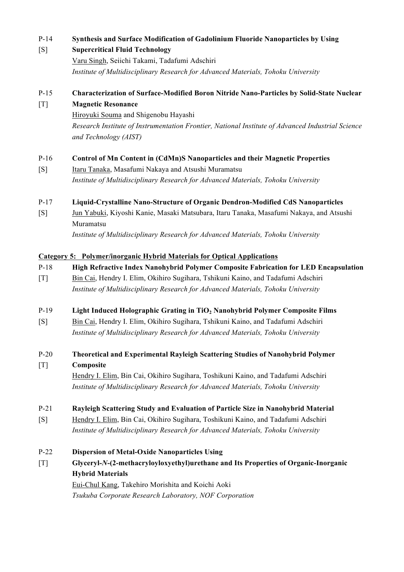### P-14 **Synthesis and Surface Modification of Gadolinium Fluoride Nanoparticles by Using**

### [S] **Supercritical Fluid Technology**

Varu Singh, Seiichi Takami, Tadafumi Adschiri *Institute of Multidisciplinary Research for Advanced Materials, Tohoku University*

### P-15 **Characterization of Surface-Modified Boron Nitride Nano-Particles by Solid-State Nuclear**  [T] **Magnetic Resonance**

Hiroyuki Souma and Shigenobu Hayashi *Research Institute of Instrumentation Frontier, National Institute of Advanced Industrial Science and Technology (AIST)*

### P-16 **Control of Mn Content in (CdMn)S Nanoparticles and their Magnetic Properties**

[S] Itaru Tanaka, Masafumi Nakaya and Atsushi Muramatsu *Institute of Multidisciplinary Research for Advanced Materials, Tohoku University*

#### P-17 **Liquid-Crystalline Nano-Structure of Organic Dendron-Modified CdS Nanoparticles**

[S] Jun Yabuki, Kiyoshi Kanie, Masaki Matsubara, Itaru Tanaka, Masafumi Nakaya, and Atsushi Muramatsu

*Institute of Multidisciplinary Research for Advanced Materials, Tohoku University*

#### **Category 5: Polymer/inorganic Hybrid Materials for Optical Applications**

#### P-18 **High Refractive Index Nanohybrid Polymer Composite Fabrication for LED Encapsulation**

[T] Bin Cai, Hendry I. Elim, Okihiro Sugihara, Tshikuni Kaino, and Tadafumi Adschiri *Institute of Multidisciplinary Research for Advanced Materials, Tohoku University*

#### P-19 **Light Induced Holographic Grating in TiO2 Nanohybrid Polymer Composite Films**

- [S] Bin Cai, Hendry I. Elim, Okihiro Sugihara, Tshikuni Kaino, and Tadafumi Adschiri *Institute of Multidisciplinary Research for Advanced Materials, Tohoku University*
- P-20 **Theoretical and Experimental Rayleigh Scattering Studies of Nanohybrid Polymer**  [T] **Composite**

Hendry I. Elim, Bin Cai, Okihiro Sugihara, Toshikuni Kaino, and Tadafumi Adschiri *Institute of Multidisciplinary Research for Advanced Materials, Tohoku University*

#### P-21 **Rayleigh Scattering Study and Evaluation of Particle Size in Nanohybrid Material**

[S] Hendry I. Elim, Bin Cai, Okihiro Sugihara, Toshikuni Kaino, and Tadafumi Adschiri *Institute of Multidisciplinary Research for Advanced Materials, Tohoku University*

#### P-22 **Dispersion of Metal-Oxide Nanoparticles Using**

[T] **Glyceryl-***N***-(2-methacryloyloxyethyl)urethane and Its Properties of Organic-Inorganic Hybrid Materials**  Eui-Chul Kang, Takehiro Morishita and Koichi Aoki *Tsukuba Corporate Research Laboratory, NOF Corporation*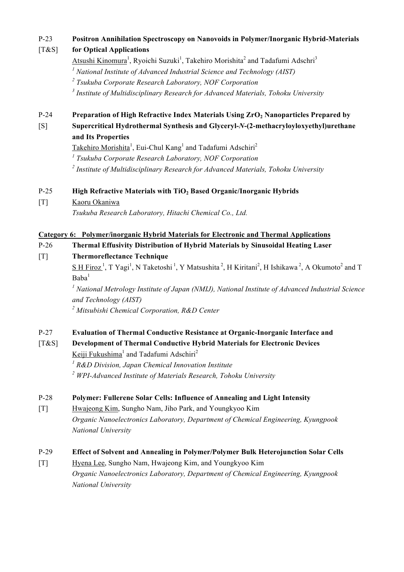# P-23 **Positron Annihilation Spectroscopy on Nanovoids in Polymer/Inorganic Hybrid-Materials**  [T&S] **for Optical Applications**

Atsushi Kinomura<sup>1</sup>, Ryoichi Suzuki<sup>1</sup>, Takehiro Morishita<sup>2</sup> and Tadafumi Adschri<sup>3</sup> *<sup>1</sup> National Institute of Advanced Industrial Science and Technology (AIST) <sup>2</sup> Tsukuba Corporate Research Laboratory, NOF Corporation*

*<sup>3</sup> Institute of Multidisciplinary Research for Advanced Materials, Tohoku University*

- P-24 **Preparation of High Refractive Index Materials Using ZrO<sub>2</sub> Nanoparticles Prepared by**
- [S] **Supercritical Hydrothermal Synthesis and Glyceryl-***N***-(2-methacryloyloxyethyl)urethane and Its Properties**

Takehiro Morishita<sup>1</sup>, Eui-Chul Kang<sup>1</sup> and Tadafumi Adschiri<sup>2</sup>

*<sup>1</sup> Tsukuba Corporate Research Laboratory, NOF Corporation*

*<sup>2</sup> Institute of Multidisciplinary Research for Advanced Materials, Tohoku University*

# P-25 **High Refractive Materials with TiO<sub>2</sub> Based Organic/Inorganic Hybrids**

[T] Kaoru Okaniwa

*Tsukuba Research Laboratory, Hitachi Chemical Co., Ltd.*

# **Category 6: Polymer/inorganic Hybrid Materials for Electronic and Thermal Applications**

P-26 **Thermal Effusivity Distribution of Hybrid Materials by Sinusoidal Heating Laser** 

[T] **Thermoreflectance Technique**

 $S$  H Firoz<sup>1</sup>, T Yagi<sup>1</sup>, N Taketoshi<sup>1</sup>, Y Matsushita<sup>2</sup>, H Kiritani<sup>2</sup>, H Ishikawa<sup>2</sup>, A Okumoto<sup>2</sup> and T  $Baba<sup>1</sup>$ 

*1 National Metrology Institute of Japan (NMIJ), National Institute of Advanced Industrial Science and Technology (AIST)*

*2 Mitsubishi Chemical Corporation, R&D Center*

# P-27 **Evaluation of Thermal Conductive Resistance at Organic-Inorganic Interface and**

# [T&S] **Development of Thermal Conductive Hybrid Materials for Electronic Devices**  Keiji Fukushima<sup>1</sup> and Tadafumi Adschiri<sup>2</sup>

*1 R&D Division, Japan Chemical Innovation Institute <sup>2</sup> WPI-Advanced Institute of Materials Research, Tohoku University*

# P-28 **Polymer: Fullerene Solar Cells: Influence of Annealing and Light Intensity**

[T] Hwajeong Kim, Sungho Nam, Jiho Park, and Youngkyoo Kim *Organic Nanoelectronics Laboratory, Department of Chemical Engineering, Kyungpook National University*

# P-29 **Effect of Solvent and Annealing in Polymer/Polymer Bulk Heterojunction Solar Cells**

[T] Hyena Lee, Sungho Nam, Hwajeong Kim, and Youngkyoo Kim *Organic Nanoelectronics Laboratory, Department of Chemical Engineering, Kyungpook National University*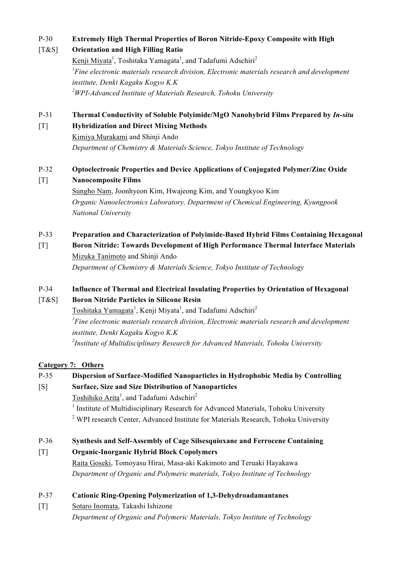# P-30 **Extremely High Thermal Properties of Boron Nitride-Epoxy Composite with High**

# [T&S] **Orientation and High Filling Ratio**

Kenji Miyata<sup>1</sup>, Toshitaka Yamagata<sup>1</sup>, and Tadafumi Adschiri<sup>2</sup> *1 Fine electronic materials research division, Electronic materials research and development institute, Denki Kagaku Kogyo K.K 2 WPI-Advanced Institute of Materials Research, Tohoku University* 

# P-31 **Thermal Conductivity of Soluble Polyimide/MgO Nanohybrid Films Prepared by** *In-situ*

# [T] **Hybridization and Direct Mixing Methods**

Kimiya Murakami and Shinji Ando *Department of Chemistry & Materials Science, Tokyo Institute of Technology*

# P-32 **Optoelectronic Properties and Device Applications of Conjugated Polymer/Zinc Oxide**

# [T] **Nanocomposite Films**

Sungho Nam, Joonhyeon Kim, Hwajeong Kim, and Youngkyoo Kim *Organic Nanoelectronics Laboratory, Department of Chemical Engineering, Kyungpook National University*

# P-33 **Preparation and Characterization of Polyimide-Based Hybrid Films Containing Hexagonal**

[T] **Boron Nitride: Towards Development of High Performance Thermal Interface Materials** Mizuka Tanimoto and Shinji Ando

*Department of Chemistry & Materials Science, Tokyo Institute of Technology*

# P-34 **Influence of Thermal and Electrical Insulating Properties by Orientation of Hexagonal**

# [T&S] **Boron Nitride Particles in Silicone Resin**

Toshitaka Yamagata<sup>1</sup>, Kenji Miyata<sup>1</sup>, and Tadafumi Adschiri<sup>2</sup> *1 Fine electronic materials research division, Electronic materials research and development institute, Denki Kagaku Kogyo K.K 2 Institute of Multidisciplinary Research for Advanced Materials, Tohoku University*

### **Category 7: Others**

# P-35 **Dispersion of Surface-Modified Nanoparticles in Hydrophobic Media by Controlling**

# [S] **Surface, Size and Size Distribution of Nanoparticles**

Toshihiko Arita<sup>1</sup>, and Tadafumi Adschiri<sup>2</sup>

<sup>1</sup> Institute of Multidisciplinary Research for Advanced Materials, Tohoku University <sup>2</sup> WPI research Center, Advanced Institute for Materials Research, Tohoku University

# P-36 **Synthesis and Self-Assembly of Cage Silsesquioxane and Ferrocene Containing**

# [T] **Organic-Inorganic Hybrid Block Copolymers**

Raita Goseki, Tomoyasu Hirai, Masa-aki Kakimoto and Teruaki Hayakawa *Department of Organic and Polymeric materials, Tokyo Institute of Technology*

# P-37 **Cationic Ring-Opening Polymerization of 1,3-Dehydroadamantanes**

[T] Sotaro Inomata, Takashi Ishizone *Department of Organic and Polymeric Materials, Tokyo Institute of Technology*